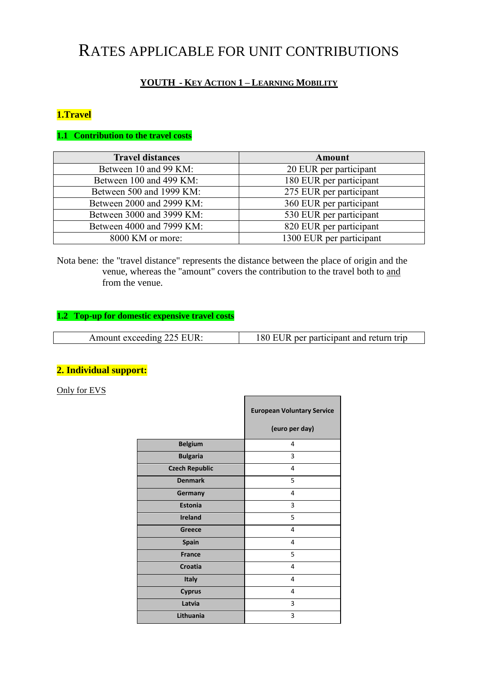# RATES APPLICABLE FOR UNIT CONTRIBUTIONS

# **YOUTH - KEY ACTION 1 – LEARNING MOBILITY**

## **1.Travel**

#### **1.1 Contribution to the travel costs**

| <b>Travel distances</b>   | Amount                   |  |
|---------------------------|--------------------------|--|
| Between 10 and 99 KM:     | 20 EUR per participant   |  |
| Between 100 and 499 KM:   | 180 EUR per participant  |  |
| Between 500 and 1999 KM:  | 275 EUR per participant  |  |
| Between 2000 and 2999 KM: | 360 EUR per participant  |  |
| Between 3000 and 3999 KM: | 530 EUR per participant  |  |
| Between 4000 and 7999 KM: | 820 EUR per participant  |  |
| 8000 KM or more:          | 1300 EUR per participant |  |

Nota bene: the "travel distance" represents the distance between the place of origin and the venue, whereas the "amount" covers the contribution to the travel both to and from the venue.

# **1.2 Top-up for domestic expensive travel costs**

| Amount exceeding 225 EUR: | 180 EUR per participant and return trip |
|---------------------------|-----------------------------------------|
|                           |                                         |

П

٦

# **2. Individual support:**

Only for EVS

|                       | <b>European Voluntary Service</b> |  |
|-----------------------|-----------------------------------|--|
|                       | (euro per day)                    |  |
| <b>Belgium</b>        | 4                                 |  |
| <b>Bulgaria</b>       | 3                                 |  |
| <b>Czech Republic</b> | 4                                 |  |
| <b>Denmark</b>        | 5                                 |  |
| Germany               | 4                                 |  |
| <b>Estonia</b>        | 3                                 |  |
| <b>Ireland</b>        | 5                                 |  |
| Greece                | 4                                 |  |
| <b>Spain</b>          | 4                                 |  |
| <b>France</b>         | 5                                 |  |
| <b>Croatia</b>        | 4                                 |  |
| Italy                 | 4                                 |  |
| <b>Cyprus</b>         | 4                                 |  |
| Latvia                | 3                                 |  |
| Lithuania             | 3                                 |  |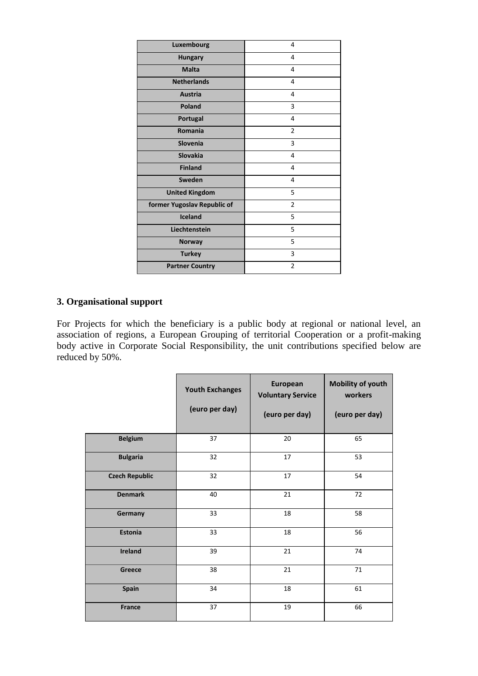| Luxembourg                  | 4              |
|-----------------------------|----------------|
| <b>Hungary</b>              | 4              |
| <b>Malta</b>                | 4              |
| <b>Netherlands</b>          | 4              |
| <b>Austria</b>              | 4              |
| <b>Poland</b>               | 3              |
| Portugal                    | 4              |
| Romania                     | $\overline{2}$ |
| Slovenia                    | 3              |
| Slovakia                    | 4              |
| <b>Finland</b>              | 4              |
| Sweden                      | 4              |
| <b>United Kingdom</b>       | 5              |
| former Yugoslav Republic of | $\overline{2}$ |
| <b>Iceland</b>              | 5              |
| Liechtenstein               | 5              |
| <b>Norway</b>               | 5              |
| <b>Turkey</b>               | 3              |
| <b>Partner Country</b>      | $\overline{2}$ |

### **3. Organisational support**

For Projects for which the beneficiary is a public body at regional or national level, an association of regions, a European Grouping of territorial Cooperation or a profit-making body active in Corporate Social Responsibility, the unit contributions specified below are reduced by 50%.

|                       | <b>Youth Exchanges</b><br>(euro per day) | European<br><b>Voluntary Service</b><br>(euro per day) | <b>Mobility of youth</b><br>workers<br>(euro per day) |
|-----------------------|------------------------------------------|--------------------------------------------------------|-------------------------------------------------------|
| <b>Belgium</b>        | 37                                       | 20                                                     | 65                                                    |
| <b>Bulgaria</b>       | 32                                       | 17                                                     | 53                                                    |
| <b>Czech Republic</b> | 32                                       | 17                                                     | 54                                                    |
| <b>Denmark</b>        | 40                                       | 21                                                     | 72                                                    |
| Germany               | 33                                       | 18                                                     | 58                                                    |
| Estonia               | 33                                       | 18                                                     | 56                                                    |
| <b>Ireland</b>        | 39                                       | 21                                                     | 74                                                    |
| Greece                | 38                                       | 21                                                     | 71                                                    |
| Spain                 | 34                                       | 18                                                     | 61                                                    |
| <b>France</b>         | 37                                       | 19                                                     | 66                                                    |